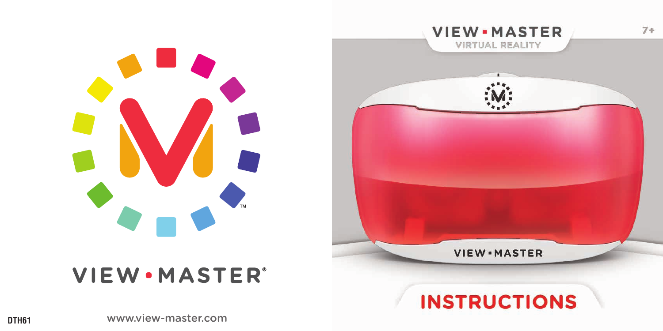



# **VIEW.MASTER®**

# **INSTRUCTIONS**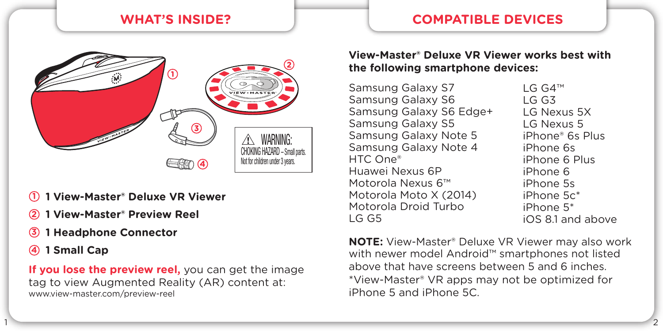

- **1 1 View-Master® Deluxe VR Viewer**
- **2 1 View-Master® Preview Reel**
- **3 1 Headphone Connector**
- **4 1 Small Cap**

**If you lose the preview reel,** you can get the image tag to view Augmented Reality (AR) content at: www.view-master.com/preview-reel

## **WHAT'S INSIDE? COMPATIBLE DEVICES**

#### **View-Master® Deluxe VR Viewer works best with the following smartphone devices:**

Samsung Galaxy S7 Samsung Galaxy S6 Samsung Galaxy S6 Edge+ Samsung Galaxy S5 Samsung Galaxy Note 5 Samsung Galaxy Note 4 HTC One® Huawei Nexus 6P Motorola Nexus 6™ Motorola Moto X (2014) Motorola Droid Turbo  $IG$  G<sub>5</sub>

1  $\sim$  2

LG G4™  $LG$  G<sub>3</sub> LG Nexus 5X LG Nexus 5 iPhone® 6s Plus iPhone 6s iPhone 6 Plus iPhone 6 iPhone 5s iPhone 5c\* iPhone 5\* iOS 8.1 and above

**NOTE:** View-Master® Deluxe VR Viewer may also work with newer model Android™ smartphones not listed above that have screens between 5 and 6 inches. \*View-Master® VR apps may not be optimized for iPhone 5 and iPhone 5C.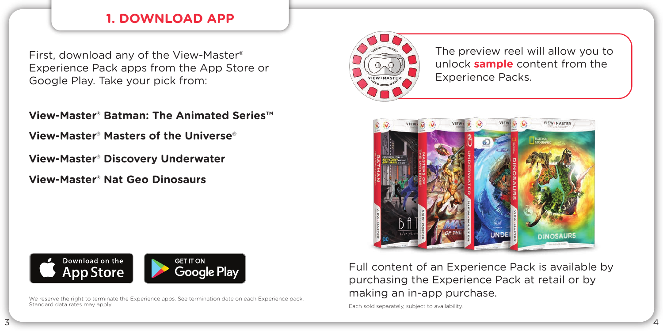## **1. DOWNLOAD APP**

First, download any of the View-Master® Experience Pack apps from the App Store or Google Play. Take your pick from:

**View-Master® Batman: The Animated Series™** 

**View-Master® Masters of the Universe®**

**View-Master® Discovery Underwater**

**View-Master® Nat Geo Dinosaurs**



We reserve the right to terminate the Experience apps. See termination date on each Experience pack. Standard data rates may apply.



The preview reel will allow you to unlock **sample** content from the Experience Packs.



Full content of an Experience Pack is available by purchasing the Experience Pack at retail or by making an in-app purchase.

Each sold separately, subject to availability.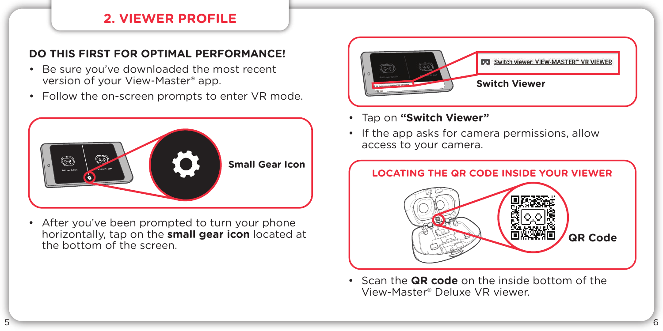## **2. VIEWER PROFILE**

#### **DO THIS FIRST FOR OPTIMAL PERFORMANCE!**

- Be sure you've downloaded the most recent version of your View-Master® app.
- Follow the on-screen prompts to enter VR mode.



• After you've been prompted to turn your phone horizontally, tap on the **small gear icon** located at the bottom of the screen.



- Tap on **"Switch Viewer"**
- If the app asks for camera permissions, allow access to your camera.



• Scan the **QR code** on the inside bottom of the View-Master® Deluxe VR viewer.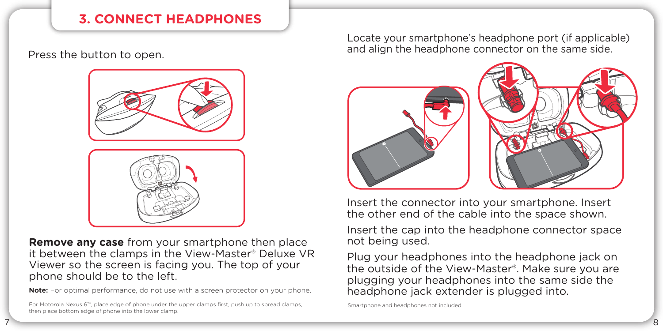# **3. CONNECT HEADPHONES**



**Remove any case** from your smartphone then place it between the clamps in the View-Master® Deluxe VR Viewer so the screen is facing you. The top of your phone should be to the left.

**Note:** For optimal performance, do not use with a screen protector on your phone.

For Motorola Nexus 6™, place edge of phone under the upper clamps first, push up to spread clamps, then place bottom edge of phone into the lower clamp.

Locate your smartphone's headphone port (if applicable) and align the headphone connector on the same side. Press the button to open.



Insert the connector into your smartphone. Insert the other end of the cable into the space shown.

Insert the cap into the headphone connector space not being used.

Plug your headphones into the headphone jack on the outside of the View-Master®. Make sure you are plugging your headphones into the same side the headphone jack extender is plugged into.

Smartphone and headphones not included.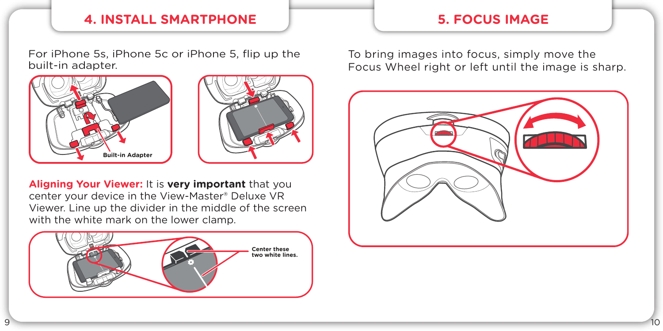## **4. INSTALL SMARTPHONE**

For iPhone 5s, iPhone 5c or iPhone 5, flip up the built-in adapter.





**Aligning Your Viewer:** It is **very important** that you center your device in the View-Master® Deluxe VR Viewer. Line up the divider in the middle of the screen with the white mark on the lower clamp.



**5. FOCUS IMAGE**

To bring images into focus, simply move the Focus Wheel right or left until the image is sharp.

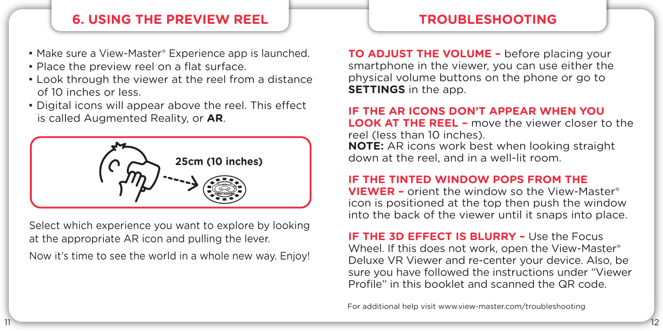## **6. USING THE PREVIEW REEL**

- Make sure a View-Master® Experience app is launched.
- Place the preview reel on a flat surface.
- Look through the viewer at the reel from a distance of 10 inches or less.
- Digital icons will appear above the reel. This effect is called Augmented Reality, or **AR**.



Select which experience you want to explore by looking at the appropriate AR icon and pulling the lever.

Now it's time to see the world in a whole new way. Enjoy!

#### **TROUBLESHOOTING**

**TO ADJUST THE VOLUME –** before placing your smartphone in the viewer, you can use either the physical volume buttons on the phone or go to **SETTINGS** in the app.

#### **IF THE AR ICONS DON'T APPEAR WHEN YOU LOOK AT THE REEL –** move the viewer closer to the reel (less than 10 inches). **NOTE:** AR icons work best when looking straight down at the reel, and in a well-lit room.

#### **IF THE TINTED WINDOW POPS FROM THE**

**VIEWER –** orient the window so the View-Master® icon is positioned at the top then push the window into the back of the viewer until it snaps into place.

**IF THE 3D EFFECT IS BLURRY – Use the Focus** Wheel. If this does not work, open the View-Master® Deluxe VR Viewer and re-center your device. Also, be sure you have followed the instructions under "Viewer Profile" in this booklet and scanned the QR code.